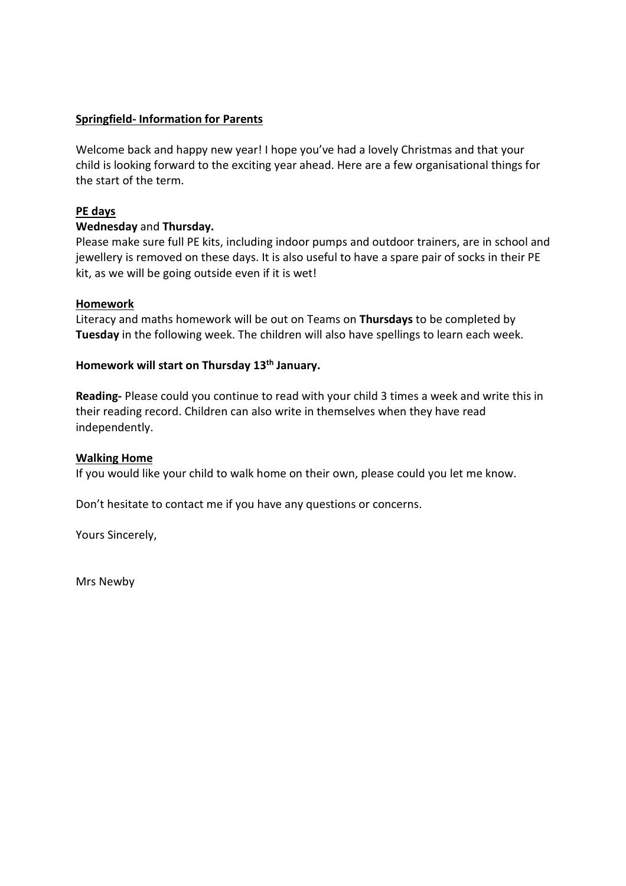## **Springfield- Information for Parents**

Welcome back and happy new year! I hope you've had a lovely Christmas and that your child is looking forward to the exciting year ahead. Here are a few organisational things for the start of the term.

# **PE days**

### **Wednesday** and **Thursday.**

Please make sure full PE kits, including indoor pumps and outdoor trainers, are in school and jewellery is removed on these days. It is also useful to have a spare pair of socks in their PE kit, as we will be going outside even if it is wet!

### **Homework**

Literacy and maths homework will be out on Teams on **Thursdays** to be completed by **Tuesday** in the following week. The children will also have spellings to learn each week.

### **Homework will start on Thursday 13th January.**

**Reading-** Please could you continue to read with your child 3 times a week and write this in their reading record. Children can also write in themselves when they have read independently.

### **Walking Home**

If you would like your child to walk home on their own, please could you let me know.

Don't hesitate to contact me if you have any questions or concerns.

Yours Sincerely,

Mrs Newby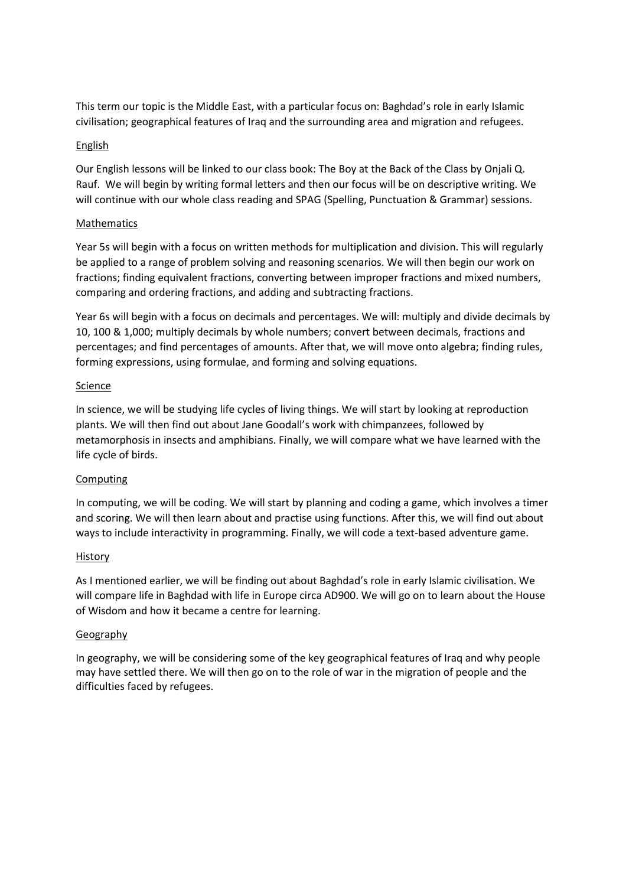This term our topic is the Middle East, with a particular focus on: Baghdad's role in early Islamic civilisation; geographical features of Iraq and the surrounding area and migration and refugees.

#### English

Our English lessons will be linked to our class book: The Boy at the Back of the Class by Onjali Q. Rauf. We will begin by writing formal letters and then our focus will be on descriptive writing. We will continue with our whole class reading and SPAG (Spelling, Punctuation & Grammar) sessions.

#### Mathematics

Year 5s will begin with a focus on written methods for multiplication and division. This will regularly be applied to a range of problem solving and reasoning scenarios. We will then begin our work on fractions; finding equivalent fractions, converting between improper fractions and mixed numbers, comparing and ordering fractions, and adding and subtracting fractions.

Year 6s will begin with a focus on decimals and percentages. We will: multiply and divide decimals by 10, 100 & 1,000; multiply decimals by whole numbers; convert between decimals, fractions and percentages; and find percentages of amounts. After that, we will move onto algebra; finding rules, forming expressions, using formulae, and forming and solving equations.

#### Science

In science, we will be studying life cycles of living things. We will start by looking at reproduction plants. We will then find out about Jane Goodall's work with chimpanzees, followed by metamorphosis in insects and amphibians. Finally, we will compare what we have learned with the life cycle of birds.

### Computing

In computing, we will be coding. We will start by planning and coding a game, which involves a timer and scoring. We will then learn about and practise using functions. After this, we will find out about ways to include interactivity in programming. Finally, we will code a text-based adventure game.

#### History

As I mentioned earlier, we will be finding out about Baghdad's role in early Islamic civilisation. We will compare life in Baghdad with life in Europe circa AD900. We will go on to learn about the House of Wisdom and how it became a centre for learning.

#### **Geography**

In geography, we will be considering some of the key geographical features of Iraq and why people may have settled there. We will then go on to the role of war in the migration of people and the difficulties faced by refugees.